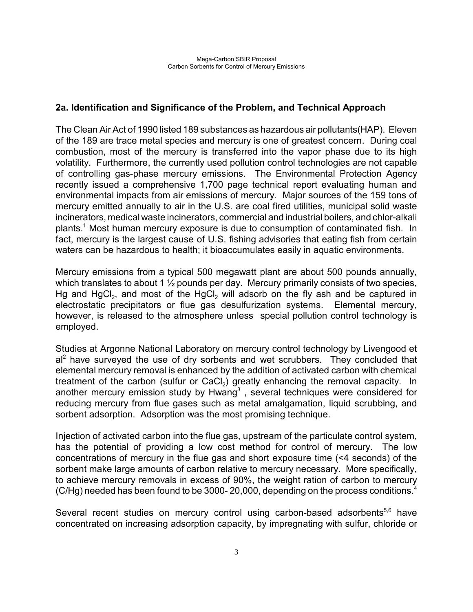## **2a. Identification and Significance of the Problem, and Technical Approach**

The Clean Air Act of 1990 listed 189 substances as hazardous air pollutants(HAP). Eleven of the 189 are trace metal species and mercury is one of greatest concern. During coal combustion, most of the mercury is transferred into the vapor phase due to its high volatility. Furthermore, the currently used pollution control technologies are not capable of controlling gas-phase mercury emissions. The Environmental Protection Agency recently issued a comprehensive 1,700 page technical report evaluating human and environmental impacts from air emissions of mercury. Major sources of the 159 tons of mercury emitted annually to air in the U.S. are coal fired utilities, municipal solid waste incinerators, medical waste incinerators, commercial and industrial boilers, and chlor-alkali plants.<sup>1</sup> Most human mercury exposure is due to consumption of contaminated fish. In fact, mercury is the largest cause of U.S. fishing advisories that eating fish from certain waters can be hazardous to health; it bioaccumulates easily in aquatic environments.

Mercury emissions from a typical 500 megawatt plant are about 500 pounds annually, which translates to about 1  $\frac{1}{2}$  pounds per day. Mercury primarily consists of two species, Hg and HgCl<sub>2</sub>, and most of the HgCl<sub>2</sub> will adsorb on the fly ash and be captured in electrostatic precipitators or flue gas desulfurization systems. Elemental mercury, however, is released to the atmosphere unless special pollution control technology is employed.

Studies at Argonne National Laboratory on mercury control technology by Livengood et  $al<sup>2</sup>$  have surveyed the use of dry sorbents and wet scrubbers. They concluded that elemental mercury removal is enhanced by the addition of activated carbon with chemical treatment of the carbon (sulfur or CaCl<sub>2</sub>) greatly enhancing the removal capacity. In another mercury emission study by Hwang<sup>3</sup>, several techniques were considered for reducing mercury from flue gases such as metal amalgamation, liquid scrubbing, and sorbent adsorption. Adsorption was the most promising technique.

Injection of activated carbon into the flue gas, upstream of the particulate control system, has the potential of providing a low cost method for control of mercury. The low concentrations of mercury in the flue gas and short exposure time (<4 seconds) of the sorbent make large amounts of carbon relative to mercury necessary. More specifically, to achieve mercury removals in excess of 90%, the weight ration of carbon to mercury (C/Hg) needed has been found to be 3000-20,000, depending on the process conditions.<sup>4</sup>

Several recent studies on mercury control using carbon-based adsorbents<sup>5,6</sup> have concentrated on increasing adsorption capacity, by impregnating with sulfur, chloride or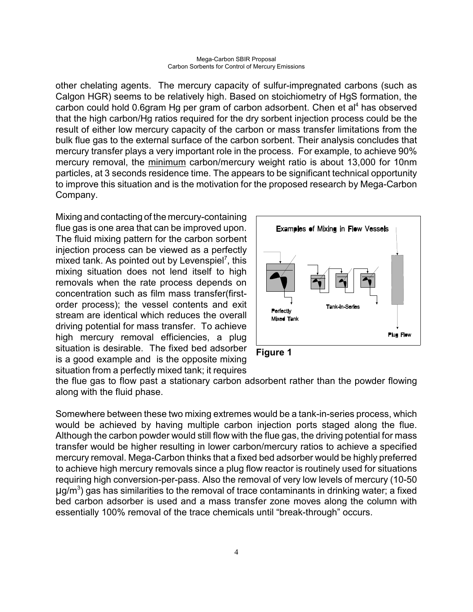other chelating agents. The mercury capacity of sulfur-impregnated carbons (such as Calgon HGR) seems to be relatively high. Based on stoichiometry of HgS formation, the carbon could hold 0.6gram Hg per gram of carbon adsorbent. Chen et al<sup>4</sup> has observed that the high carbon/Hg ratios required for the dry sorbent injection process could be the result of either low mercury capacity of the carbon or mass transfer limitations from the bulk flue gas to the external surface of the carbon sorbent. Their analysis concludes that mercury transfer plays a very important role in the process. For example, to achieve 90% mercury removal, the minimum carbon/mercury weight ratio is about 13,000 for 10nm particles, at 3 seconds residence time. The appears to be significant technical opportunity to improve this situation and is the motivation for the proposed research by Mega-Carbon Company.

Mixing and contacting of the mercury-containing flue gas is one area that can be improved upon. The fluid mixing pattern for the carbon sorbent injection process can be viewed as a perfectly mixed tank. As pointed out by Levenspiel<sup>7</sup>, this mixing situation does not lend itself to high removals when the rate process depends on concentration such as film mass transfer(firstorder process); the vessel contents and exit stream are identical which reduces the overall driving potential for mass transfer. To achieve high mercury removal efficiencies, a plug situation is desirable. The fixed bed adsorber is a good example and is the opposite mixing situation from a perfectly mixed tank; it requires





the flue gas to flow past a stationary carbon adsorbent rather than the powder flowing along with the fluid phase.

Somewhere between these two mixing extremes would be a tank-in-series process, which would be achieved by having multiple carbon injection ports staged along the flue. Although the carbon powder would still flow with the flue gas, the driving potential for mass transfer would be higher resulting in lower carbon/mercury ratios to achieve a specified mercury removal. Mega-Carbon thinks that a fixed bed adsorber would be highly preferred to achieve high mercury removals since a plug flow reactor is routinely used for situations requiring high conversion-per-pass. Also the removal of very low levels of mercury (10-50  $\mu$ g/m<sup>3</sup>) gas has similarities to the removal of trace contaminants in drinking water; a fixed bed carbon adsorber is used and a mass transfer zone moves along the column with essentially 100% removal of the trace chemicals until "break-through" occurs.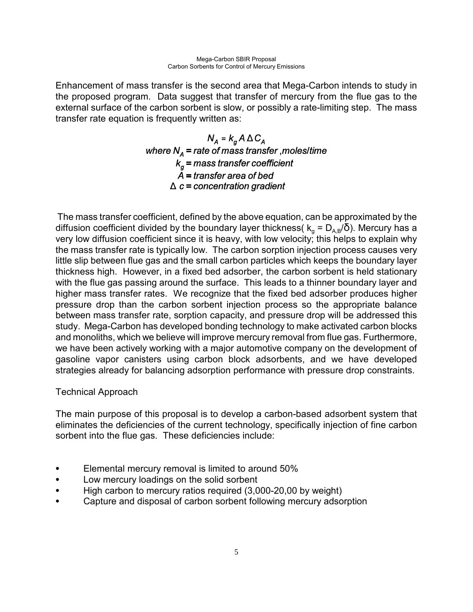Enhancement of mass transfer is the second area that Mega-Carbon intends to study in the proposed program. Data suggest that transfer of mercury from the flue gas to the external surface of the carbon sorbent is slow, or possibly a rate-limiting step. The mass transfer rate equation is frequently written as:

# $N_A = k_a A \Delta C_A$ where  $N_A$  = rate of mass transfer , moles/time  $k_g$  = mass transfer coefficient  $\overline{A}$  = transfer area of bed  $\triangle$  c = concentration gradient

 The mass transfer coefficient, defined by the above equation, can be approximated by the diffusion coefficient divided by the boundary layer thickness(  $\rm k_{\rm g}$  =  $\rm D_{\rm A,B}/\rm \bar{\rm O}$ ). Mercury has a very low diffusion coefficient since it is heavy, with low velocity; this helps to explain why the mass transfer rate is typically low. The carbon sorption injection process causes very little slip between flue gas and the small carbon particles which keeps the boundary layer thickness high. However, in a fixed bed adsorber, the carbon sorbent is held stationary with the flue gas passing around the surface. This leads to a thinner boundary layer and higher mass transfer rates. We recognize that the fixed bed adsorber produces higher pressure drop than the carbon sorbent injection process so the appropriate balance between mass transfer rate, sorption capacity, and pressure drop will be addressed this study. Mega-Carbon has developed bonding technology to make activated carbon blocks and monoliths, which we believe will improve mercury removal from flue gas. Furthermore, we have been actively working with a major automotive company on the development of gasoline vapor canisters using carbon block adsorbents, and we have developed strategies already for balancing adsorption performance with pressure drop constraints.

## Technical Approach

The main purpose of this proposal is to develop a carbon-based adsorbent system that eliminates the deficiencies of the current technology, specifically injection of fine carbon sorbent into the flue gas. These deficiencies include:

- Elemental mercury removal is limited to around 50%
- Low mercury loadings on the solid sorbent
- High carbon to mercury ratios required (3,000-20,00 by weight)
- Capture and disposal of carbon sorbent following mercury adsorption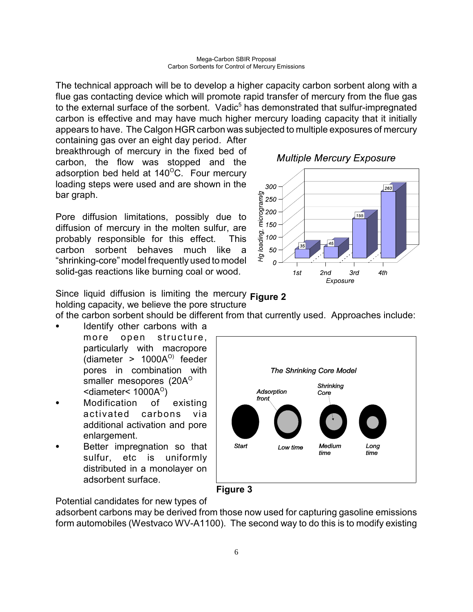The technical approach will be to develop a higher capacity carbon sorbent along with a flue gas contacting device which will promote rapid transfer of mercury from the flue gas to the external surface of the sorbent. Vadic<sup>5</sup> has demonstrated that sulfur-impregnated carbon is effective and may have much higher mercury loading capacity that it initially appears to have. The Calgon HGR carbon was subjected to multiple exposures of mercury

containing gas over an eight day period. After breakthrough of mercury in the fixed bed of carbon, the flow was stopped and the adsorption bed held at  $140^{\circ}$ C. Four mercury loading steps were used and are shown in the bar graph.

Pore diffusion limitations, possibly due to diffusion of mercury in the molten sulfur, are probably responsible for this effect. This carbon sorbent behaves much like a "shrinking-core" model frequently used to model solid-gas reactions like burning coal or wood.

**Multiple Mercury Exposure** 



Since liquid diffusion is limiting the mercury **Figure 2** holding capacity, we believe the pore structure

of the carbon sorbent should be different from that currently used. Approaches include:

- Identify other carbons with a more open structure, particularly with macropore (diameter  $> 1000A<sup>o</sup>$ ) feeder pores in combination with smaller mesopores (20 $A^{\circ}$ )  $\le$ diameter $\le$  1000 $\mathsf{A}^{\circ}$ )
- Modification of existing activated carbons via additional activation and pore enlargement.
- Better impregnation so that sulfur, etc is uniformly distributed in a monolayer on adsorbent surface.





Potential candidates for new types of

adsorbent carbons may be derived from those now used for capturing gasoline emissions form automobiles (Westvaco WV-A1100). The second way to do this is to modify existing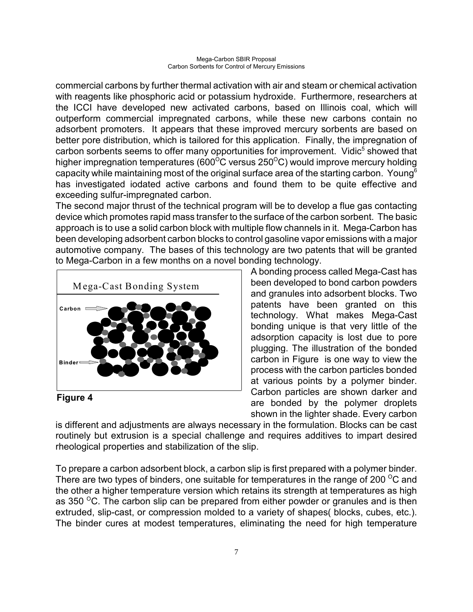commercial carbons by further thermal activation with air and steam or chemical activation with reagents like phosphoric acid or potassium hydroxide. Furthermore, researchers at the ICCI have developed new activated carbons, based on Illinois coal, which will outperform commercial impregnated carbons, while these new carbons contain no adsorbent promoters. It appears that these improved mercury sorbents are based on better pore distribution, which is tailored for this application. Finally, the impregnation of carbon sorbents seems to offer many opportunities for improvement. Vidic<sup>5</sup> showed that higher impregnation temperatures (600 $\rm ^{O}C$  versus 250 $\rm ^{O}C$ ) would improve mercury holding capacity while maintaining most of the original surface area of the starting carbon. Young<sup>6</sup> has investigated iodated active carbons and found them to be quite effective and exceeding sulfur-impregnated carbon.

The second major thrust of the technical program will be to develop a flue gas contacting device which promotes rapid mass transfer to the surface of the carbon sorbent. The basic approach is to use a solid carbon block with multiple flow channels in it. Mega-Carbon has been developing adsorbent carbon blocks to control gasoline vapor emissions with a major automotive company. The bases of this technology are two patents that will be granted to Mega-Carbon in a few months on a novel bonding technology.



**Figure 4**

A bonding process called Mega-Cast has been developed to bond carbon powders and granules into adsorbent blocks. Two patents have been granted on this technology. What makes Mega-Cast bonding unique is that very little of the adsorption capacity is lost due to pore plugging. The illustration of the bonded carbon in Figure is one way to view the process with the carbon particles bonded at various points by a polymer binder. Carbon particles are shown darker and are bonded by the polymer droplets shown in the lighter shade. Every carbon

is different and adjustments are always necessary in the formulation. Blocks can be cast routinely but extrusion is a special challenge and requires additives to impart desired rheological properties and stabilization of the slip.

To prepare a carbon adsorbent block, a carbon slip is first prepared with a polymer binder. There are two types of binders, one suitable for temperatures in the range of 200  $\mathrm{^{\circ}C}$  and the other a higher temperature version which retains its strength at temperatures as high as 350  $\mathrm{^{\circ}C}$ . The carbon slip can be prepared from either powder or granules and is then extruded, slip-cast, or compression molded to a variety of shapes( blocks, cubes, etc.). The binder cures at modest temperatures, eliminating the need for high temperature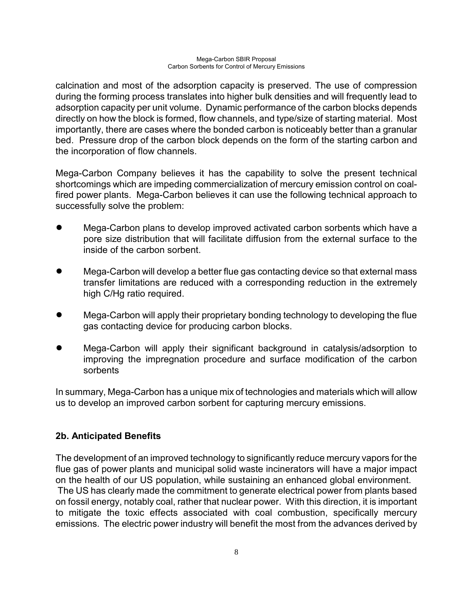calcination and most of the adsorption capacity is preserved. The use of compression during the forming process translates into higher bulk densities and will frequently lead to adsorption capacity per unit volume. Dynamic performance of the carbon blocks depends directly on how the block is formed, flow channels, and type/size of starting material. Most importantly, there are cases where the bonded carbon is noticeably better than a granular bed. Pressure drop of the carbon block depends on the form of the starting carbon and the incorporation of flow channels.

Mega-Carbon Company believes it has the capability to solve the present technical shortcomings which are impeding commercialization of mercury emission control on coalfired power plants. Mega-Carbon believes it can use the following technical approach to successfully solve the problem:

- ! Mega-Carbon plans to develop improved activated carbon sorbents which have a pore size distribution that will facilitate diffusion from the external surface to the inside of the carbon sorbent.
- Mega-Carbon will develop a better flue gas contacting device so that external mass transfer limitations are reduced with a corresponding reduction in the extremely high C/Hg ratio required.
- ! Mega-Carbon will apply their proprietary bonding technology to developing the flue gas contacting device for producing carbon blocks.
- ! Mega-Carbon will apply their significant background in catalysis/adsorption to improving the impregnation procedure and surface modification of the carbon sorbents

In summary, Mega-Carbon has a unique mix of technologies and materials which will allow us to develop an improved carbon sorbent for capturing mercury emissions.

## **2b. Anticipated Benefits**

The development of an improved technology to significantly reduce mercury vapors for the flue gas of power plants and municipal solid waste incinerators will have a major impact on the health of our US population, while sustaining an enhanced global environment. The US has clearly made the commitment to generate electrical power from plants based on fossil energy, notably coal, rather that nuclear power. With this direction, it is important to mitigate the toxic effects associated with coal combustion, specifically mercury emissions. The electric power industry will benefit the most from the advances derived by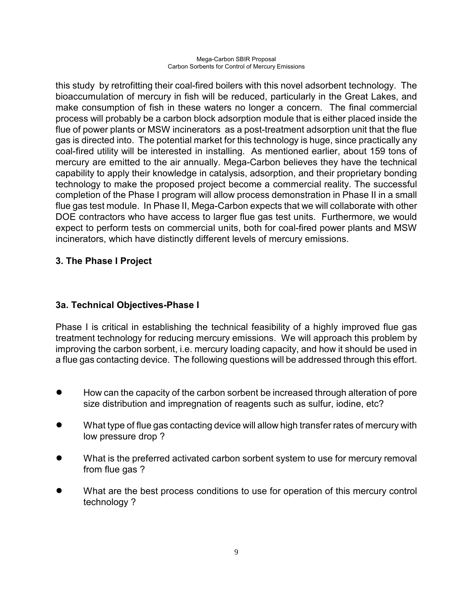this study by retrofitting their coal-fired boilers with this novel adsorbent technology. The bioaccumulation of mercury in fish will be reduced, particularly in the Great Lakes, and make consumption of fish in these waters no longer a concern. The final commercial process will probably be a carbon block adsorption module that is either placed inside the flue of power plants or MSW incinerators as a post-treatment adsorption unit that the flue gas is directed into. The potential market for this technology is huge, since practically any coal-fired utility will be interested in installing. As mentioned earlier, about 159 tons of mercury are emitted to the air annually. Mega-Carbon believes they have the technical capability to apply their knowledge in catalysis, adsorption, and their proprietary bonding technology to make the proposed project become a commercial reality. The successful completion of the Phase I program will allow process demonstration in Phase II in a small flue gas test module. In Phase II, Mega-Carbon expects that we will collaborate with other DOE contractors who have access to larger flue gas test units. Furthermore, we would expect to perform tests on commercial units, both for coal-fired power plants and MSW incinerators, which have distinctly different levels of mercury emissions.

## **3. The Phase I Project**

## **3a. Technical Objectives-Phase I**

Phase I is critical in establishing the technical feasibility of a highly improved flue gas treatment technology for reducing mercury emissions. We will approach this problem by improving the carbon sorbent, i.e. mercury loading capacity, and how it should be used in a flue gas contacting device. The following questions will be addressed through this effort.

- ! How can the capacity of the carbon sorbent be increased through alteration of pore size distribution and impregnation of reagents such as sulfur, iodine, etc?
- What type of flue gas contacting device will allow high transfer rates of mercury with low pressure drop ?
- What is the preferred activated carbon sorbent system to use for mercury removal from flue gas ?
- ! What are the best process conditions to use for operation of this mercury control technology ?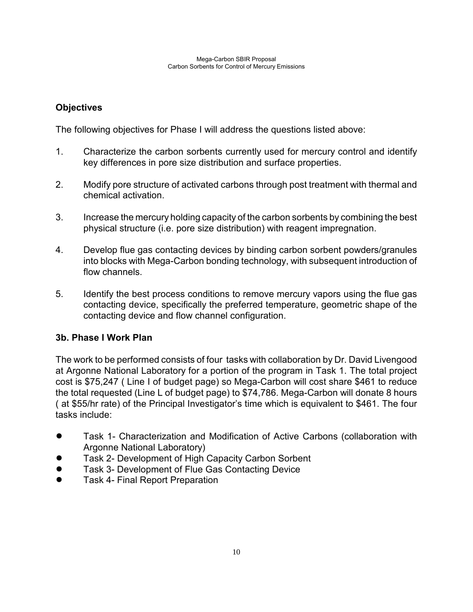## **Objectives**

The following objectives for Phase I will address the questions listed above:

- 1. Characterize the carbon sorbents currently used for mercury control and identify key differences in pore size distribution and surface properties.
- 2. Modify pore structure of activated carbons through post treatment with thermal and chemical activation.
- 3. Increase the mercury holding capacity of the carbon sorbents by combining the best physical structure (i.e. pore size distribution) with reagent impregnation.
- 4. Develop flue gas contacting devices by binding carbon sorbent powders/granules into blocks with Mega-Carbon bonding technology, with subsequent introduction of flow channels.
- 5. Identify the best process conditions to remove mercury vapors using the flue gas contacting device, specifically the preferred temperature, geometric shape of the contacting device and flow channel configuration.

## **3b. Phase I Work Plan**

The work to be performed consists of four tasks with collaboration by Dr. David Livengood at Argonne National Laboratory for a portion of the program in Task 1. The total project cost is \$75,247 ( Line I of budget page) so Mega-Carbon will cost share \$461 to reduce the total requested (Line L of budget page) to \$74,786. Mega-Carbon will donate 8 hours ( at \$55/hr rate) of the Principal Investigatorís time which is equivalent to \$461. The four tasks include:

- Task 1- Characterization and Modification of Active Carbons (collaboration with Argonne National Laboratory)
- Task 2- Development of High Capacity Carbon Sorbent
- **Task 3- Development of Flue Gas Contacting Device**
- **•** Task 4- Final Report Preparation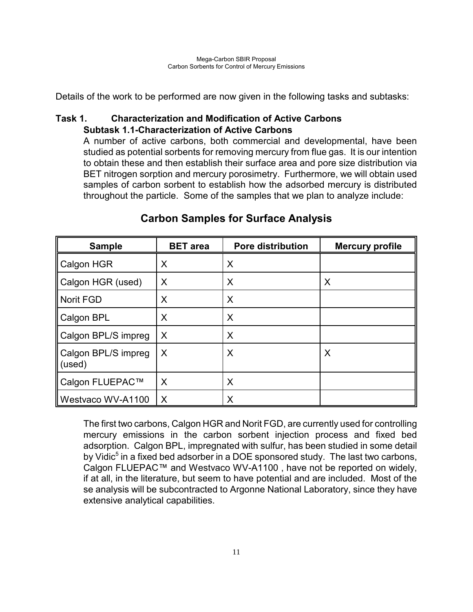Details of the work to be performed are now given in the following tasks and subtasks:

## **Task 1. Characterization and Modification of Active Carbons Subtask 1.1-Characterization of Active Carbons**

A number of active carbons, both commercial and developmental, have been studied as potential sorbents for removing mercury from flue gas. It is our intention to obtain these and then establish their surface area and pore size distribution via BET nitrogen sorption and mercury porosimetry. Furthermore, we will obtain used samples of carbon sorbent to establish how the adsorbed mercury is distributed throughout the particle. Some of the samples that we plan to analyze include:

| <b>Sample</b>                 | <b>BET</b> area | <b>Pore distribution</b> | <b>Mercury profile</b> |
|-------------------------------|-----------------|--------------------------|------------------------|
| Calgon HGR                    | X               | X                        |                        |
| Calgon HGR (used)             | $\sf X$         | X                        | X                      |
| Norit FGD                     | X               | X                        |                        |
| Calgon BPL                    | X               | X                        |                        |
| Calgon BPL/S impreg           | $\sf X$         | X                        |                        |
| Calgon BPL/S impreg<br>(used) | X               | X                        | X                      |
| Calgon FLUEPAC™               | X               | X                        |                        |
| Westvaco WV-A1100             | X               | Χ                        |                        |

# **Carbon Samples for Surface Analysis**

The first two carbons, Calgon HGR and Norit FGD, are currently used for controlling mercury emissions in the carbon sorbent injection process and fixed bed adsorption. Calgon BPL, impregnated with sulfur, has been studied in some detail by Vidic<sup>5</sup> in a fixed bed adsorber in a DOE sponsored study. The last two carbons, Calgon FLUEPAC™ and Westvaco WV-A1100, have not be reported on widely, if at all, in the literature, but seem to have potential and are included. Most of the se analysis will be subcontracted to Argonne National Laboratory, since they have extensive analytical capabilities.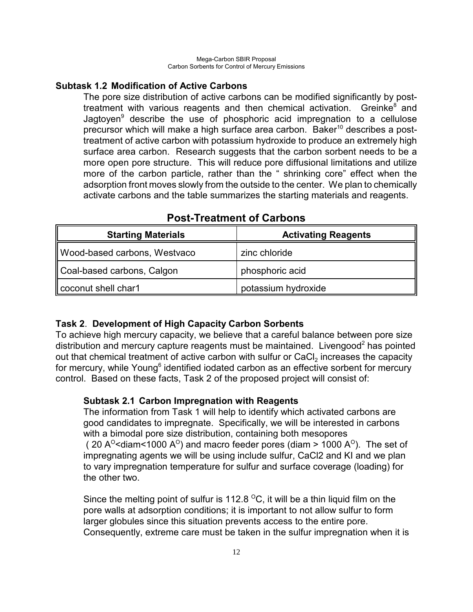## **Subtask 1.2 Modification of Active Carbons**

The pore size distribution of active carbons can be modified significantly by posttreatment with various reagents and then chemical activation. Greinke<sup>8</sup> and Jagtoyen<sup>9</sup> describe the use of phosphoric acid impregnation to a cellulose precursor which will make a high surface area carbon. Baker $10$  describes a posttreatment of active carbon with potassium hydroxide to produce an extremely high surface area carbon. Research suggests that the carbon sorbent needs to be a more open pore structure. This will reduce pore diffusional limitations and utilize more of the carbon particle, rather than the "shrinking core" effect when the adsorption front moves slowly from the outside to the center. We plan to chemically activate carbons and the table summarizes the starting materials and reagents.

| <b>Starting Materials</b>    | <b>Activating Reagents</b> |
|------------------------------|----------------------------|
| Wood-based carbons, Westvaco | zinc chloride              |
| Coal-based carbons, Calgon   | phosphoric acid            |
| coconut shell char1          | potassium hydroxide        |

# **Post-Treatment of Carbons**

## **Task 2**. **Development of High Capacity Carbon Sorbents**

To achieve high mercury capacity, we believe that a careful balance between pore size distribution and mercury capture reagents must be maintained. Livengood<sup>2</sup> has pointed out that chemical treatment of active carbon with sulfur or CaCl<sub>2</sub> increases the capacity for mercury, while Young<sup>6</sup> identified iodated carbon as an effective sorbent for mercury control. Based on these facts, Task 2 of the proposed project will consist of:

## **Subtask 2.1 Carbon Impregnation with Reagents**

The information from Task 1 will help to identify which activated carbons are good candidates to impregnate. Specifically, we will be interested in carbons with a bimodal pore size distribution, containing both mesopores ( 20 A<sup>o</sup> <diam < 1000 A<sup>o</sup>) and macro feeder pores (diam > 1000 A<sup>o</sup>). The set of impregnating agents we will be using include sulfur, CaCl2 and KI and we plan to vary impregnation temperature for sulfur and surface coverage (loading) for the other two.

Since the melting point of sulfur is 112.8  $\mathrm{^{\circ}C}$ , it will be a thin liquid film on the pore walls at adsorption conditions; it is important to not allow sulfur to form larger globules since this situation prevents access to the entire pore. Consequently, extreme care must be taken in the sulfur impregnation when it is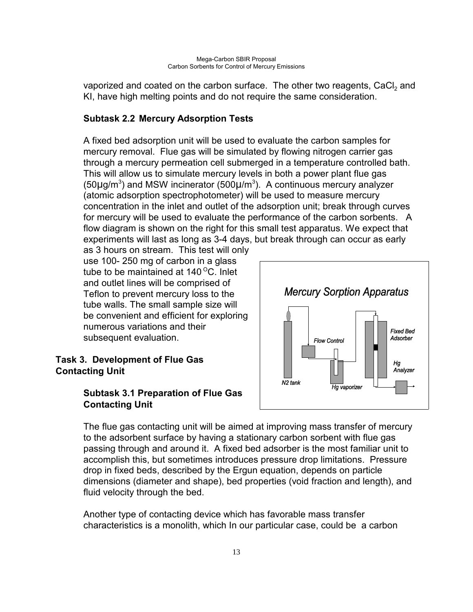vaporized and coated on the carbon surface. The other two reagents, CaCl<sub>2</sub> and KI, have high melting points and do not require the same consideration.

# **Subtask 2.2 Mercury Adsorption Tests**

A fixed bed adsorption unit will be used to evaluate the carbon samples for mercury removal. Flue gas will be simulated by flowing nitrogen carrier gas through a mercury permeation cell submerged in a temperature controlled bath. This will allow us to simulate mercury levels in both a power plant flue gas (50 $\mu$ g/m<sup>3</sup>) and MSW incinerator (500 $\mu$ /m<sup>3</sup>). A continuous mercury analyzer (atomic adsorption spectrophotometer) will be used to measure mercury concentration in the inlet and outlet of the adsorption unit; break through curves for mercury will be used to evaluate the performance of the carbon sorbents. A flow diagram is shown on the right for this small test apparatus. We expect that experiments will last as long as 3-4 days, but break through can occur as early

as 3 hours on stream. This test will only use 100- 250 mg of carbon in a glass tube to be maintained at  $140^{\circ}$ C. Inlet and outlet lines will be comprised of Teflon to prevent mercury loss to the tube walls. The small sample size will be convenient and efficient for exploring numerous variations and their subsequent evaluation.

## **Task 3. Development of Flue Gas Contacting Unit**

# **Subtask 3.1 Preparation of Flue Gas Contacting Unit**



The flue gas contacting unit will be aimed at improving mass transfer of mercury to the adsorbent surface by having a stationary carbon sorbent with flue gas passing through and around it. A fixed bed adsorber is the most familiar unit to accomplish this, but sometimes introduces pressure drop limitations. Pressure drop in fixed beds, described by the Ergun equation, depends on particle dimensions (diameter and shape), bed properties (void fraction and length), and fluid velocity through the bed.

Another type of contacting device which has favorable mass transfer characteristics is a monolith, which In our particular case, could be a carbon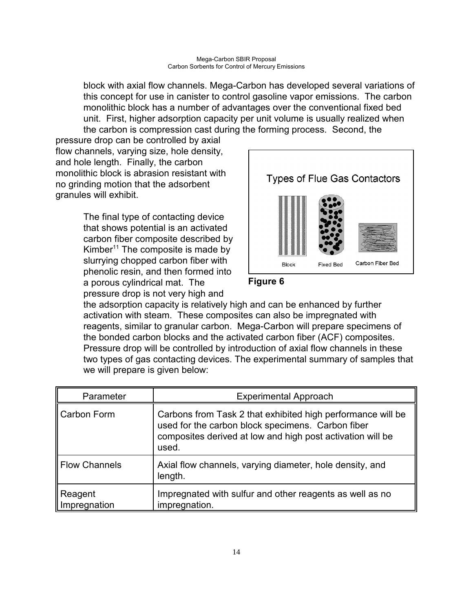block with axial flow channels. Mega-Carbon has developed several variations of this concept for use in canister to control gasoline vapor emissions. The carbon monolithic block has a number of advantages over the conventional fixed bed unit. First, higher adsorption capacity per unit volume is usually realized when the carbon is compression cast during the forming process. Second, the

pressure drop can be controlled by axial flow channels, varying size, hole density, and hole length. Finally, the carbon monolithic block is abrasion resistant with no grinding motion that the adsorbent granules will exhibit.

> The final type of contacting device that shows potential is an activated carbon fiber composite described by Kimber<sup>11</sup> The composite is made by slurrying chopped carbon fiber with phenolic resin, and then formed into a porous cylindrical mat. The pressure drop is not very high and





the adsorption capacity is relatively high and can be enhanced by further activation with steam. These composites can also be impregnated with reagents, similar to granular carbon. Mega-Carbon will prepare specimens of the bonded carbon blocks and the activated carbon fiber (ACF) composites. Pressure drop will be controlled by introduction of axial flow channels in these two types of gas contacting devices. The experimental summary of samples that we will prepare is given below:

| Parameter               | <b>Experimental Approach</b>                                                                                                                                                            |
|-------------------------|-----------------------------------------------------------------------------------------------------------------------------------------------------------------------------------------|
| Carbon Form             | Carbons from Task 2 that exhibited high performance will be<br>used for the carbon block specimens. Carbon fiber<br>composites derived at low and high post activation will be<br>used. |
| <b>Flow Channels</b>    | Axial flow channels, varying diameter, hole density, and<br>length.                                                                                                                     |
| Reagent<br>Impregnation | Impregnated with sulfur and other reagents as well as no<br>impregnation.                                                                                                               |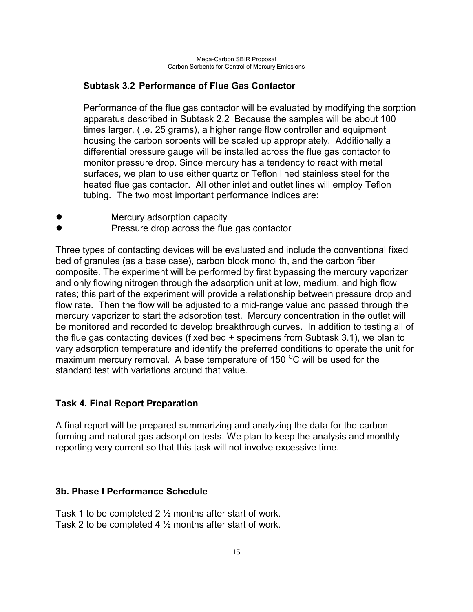## **Subtask 3.2 Performance of Flue Gas Contactor**

Performance of the flue gas contactor will be evaluated by modifying the sorption apparatus described in Subtask 2.2 Because the samples will be about 100 times larger, (i.e. 25 grams), a higher range flow controller and equipment housing the carbon sorbents will be scaled up appropriately. Additionally a differential pressure gauge will be installed across the flue gas contactor to monitor pressure drop. Since mercury has a tendency to react with metal surfaces, we plan to use either quartz or Teflon lined stainless steel for the heated flue gas contactor. All other inlet and outlet lines will employ Teflon tubing. The two most important performance indices are:

- Mercury adsorption capacity
- ! Pressure drop across the flue gas contactor

Three types of contacting devices will be evaluated and include the conventional fixed bed of granules (as a base case), carbon block monolith, and the carbon fiber composite. The experiment will be performed by first bypassing the mercury vaporizer and only flowing nitrogen through the adsorption unit at low, medium, and high flow rates; this part of the experiment will provide a relationship between pressure drop and flow rate. Then the flow will be adjusted to a mid-range value and passed through the mercury vaporizer to start the adsorption test. Mercury concentration in the outlet will be monitored and recorded to develop breakthrough curves. In addition to testing all of the flue gas contacting devices (fixed bed + specimens from Subtask 3.1), we plan to vary adsorption temperature and identify the preferred conditions to operate the unit for maximum mercury removal. A base temperature of 150 $\mathrm{^{\circ}C}$  will be used for the standard test with variations around that value.

## **Task 4. Final Report Preparation**

A final report will be prepared summarizing and analyzing the data for the carbon forming and natural gas adsorption tests. We plan to keep the analysis and monthly reporting very current so that this task will not involve excessive time.

## **3b. Phase I Performance Schedule**

Task 1 to be completed 2 ½ months after start of work. Task 2 to be completed 4 ½ months after start of work.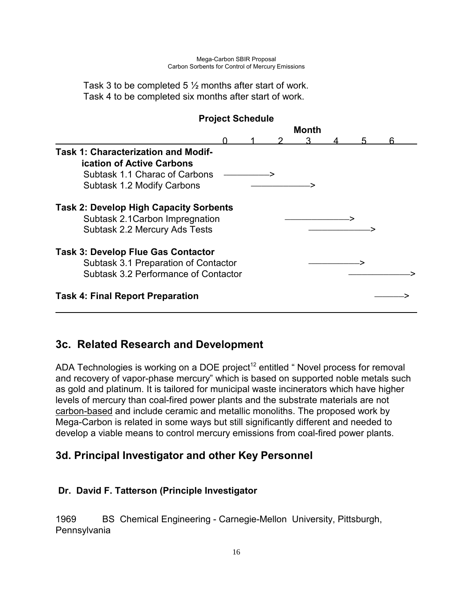Task 3 to be completed 5 ½ months after start of work. Task 4 to be completed six months after start of work.

| <b>Project Schedule</b>                       |  |       |  |  |
|-----------------------------------------------|--|-------|--|--|
|                                               |  | Month |  |  |
|                                               |  |       |  |  |
| <b>Task 1: Characterization and Modif-</b>    |  |       |  |  |
| <b>ication of Active Carbons</b>              |  |       |  |  |
| Subtask 1.1 Charac of Carbons                 |  |       |  |  |
| Subtask 1.2 Modify Carbons                    |  |       |  |  |
| <b>Task 2: Develop High Capacity Sorbents</b> |  |       |  |  |
| Subtask 2.1 Carbon Impregnation               |  |       |  |  |
| Subtask 2.2 Mercury Ads Tests                 |  |       |  |  |
| <b>Task 3: Develop Flue Gas Contactor</b>     |  |       |  |  |
| Subtask 3.1 Preparation of Contactor          |  |       |  |  |
| Subtask 3.2 Performance of Contactor          |  |       |  |  |
| <b>Task 4: Final Report Preparation</b>       |  |       |  |  |
|                                               |  |       |  |  |

# **3c. Related Research and Development**

ADA Technologies is working on a DOE project<sup>12</sup> entitled  $\degree$  Novel process for removal and recovery of vapor-phase mercury" which is based on supported noble metals such as gold and platinum. It is tailored for municipal waste incinerators which have higher levels of mercury than coal-fired power plants and the substrate materials are not carbon-based and include ceramic and metallic monoliths. The proposed work by Mega-Carbon is related in some ways but still significantly different and needed to develop a viable means to control mercury emissions from coal-fired power plants.

# **3d. Principal Investigator and other Key Personnel**

## **Dr. David F. Tatterson (Principle Investigator**

1969 BS Chemical Engineering - Carnegie-Mellon University, Pittsburgh, Pennsylvania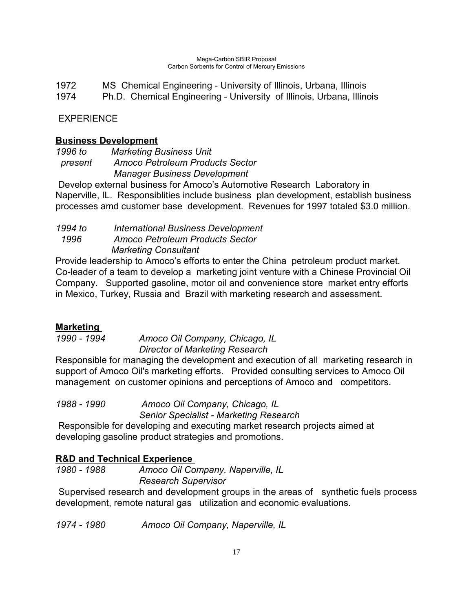1972 MS Chemical Engineering - University of Illinois, Urbana, Illinois 1974 Ph.D. Chemical Engineering - University of Illinois, Urbana, Illinois

EXPERIENCE

## **Business Development**

*1996 to Marketing Business Unit present Amoco Petroleum Products Sector Manager Business Development*

Develop external business for Amoco's Automotive Research Laboratory in Naperville, IL. Responsiblities include business plan development, establish business processes amd customer base development. Revenues for 1997 totaled \$3.0 million.

*1994 to International Business Development 1996 Amoco Petroleum Products Sector Marketing Consultant* 

Provide leadership to Amoco's efforts to enter the China petroleum product market. Co-leader of a team to develop a marketing joint venture with a Chinese Provincial Oil Company. Supported gasoline, motor oil and convenience store market entry efforts in Mexico, Turkey, Russia and Brazil with marketing research and assessment.

## **Marketing**

*1990 - 1994 Amoco Oil Company, Chicago, IL Director of Marketing Research*

Responsible for managing the development and execution of all marketing research in support of Amoco Oil's marketing efforts. Provided consulting services to Amoco Oil management on customer opinions and perceptions of Amoco and competitors.

*1988 - 1990 Amoco Oil Company, Chicago, IL Senior Specialist - Marketing Research*

 Responsible for developing and executing market research projects aimed at developing gasoline product strategies and promotions.

## **R&D and Technical Experience**

*1980 - 1988 Amoco Oil Company, Naperville, IL Research Supervisor*

 Supervised research and development groups in the areas of synthetic fuels process development, remote natural gas utilization and economic evaluations.

*1974 - 1980 Amoco Oil Company, Naperville, IL*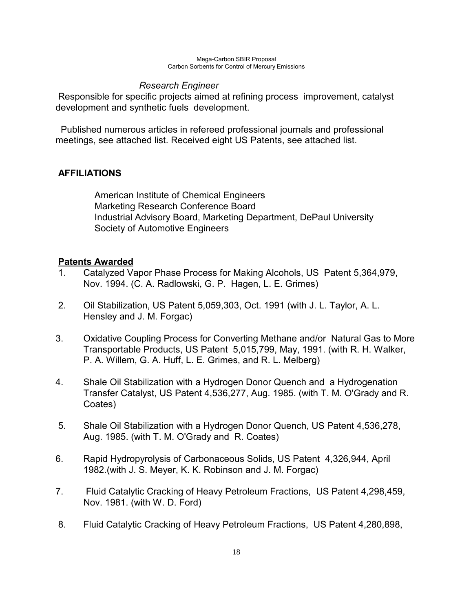## *Research Engineer*

 Responsible for specific projects aimed at refining process improvement, catalyst development and synthetic fuels development.

 Published numerous articles in refereed professional journals and professional meetings, see attached list. Received eight US Patents, see attached list.

## **AFFILIATIONS**

 American Institute of Chemical Engineers Marketing Research Conference Board Industrial Advisory Board, Marketing Department, DePaul University Society of Automotive Engineers

## **Patents Awarded**

- 1. Catalyzed Vapor Phase Process for Making Alcohols, US Patent 5,364,979, Nov. 1994. (C. A. Radlowski, G. P. Hagen, L. E. Grimes)
- 2. Oil Stabilization, US Patent 5,059,303, Oct. 1991 (with J. L. Taylor, A. L. Hensley and J. M. Forgac)
- 3. Oxidative Coupling Process for Converting Methane and/or Natural Gas to More Transportable Products, US Patent 5,015,799, May, 1991. (with R. H. Walker, P. A. Willem, G. A. Huff, L. E. Grimes, and R. L. Melberg)
- 4. Shale Oil Stabilization with a Hydrogen Donor Quench and a Hydrogenation Transfer Catalyst, US Patent 4,536,277, Aug. 1985. (with T. M. O'Grady and R. Coates)
- 5. Shale Oil Stabilization with a Hydrogen Donor Quench, US Patent 4,536,278, Aug. 1985. (with T. M. O'Grady and R. Coates)
- 6. Rapid Hydropyrolysis of Carbonaceous Solids, US Patent 4,326,944, April 1982.(with J. S. Meyer, K. K. Robinson and J. M. Forgac)
- 7. Fluid Catalytic Cracking of Heavy Petroleum Fractions, US Patent 4,298,459, Nov. 1981. (with W. D. Ford)
- 8. Fluid Catalytic Cracking of Heavy Petroleum Fractions, US Patent 4,280,898,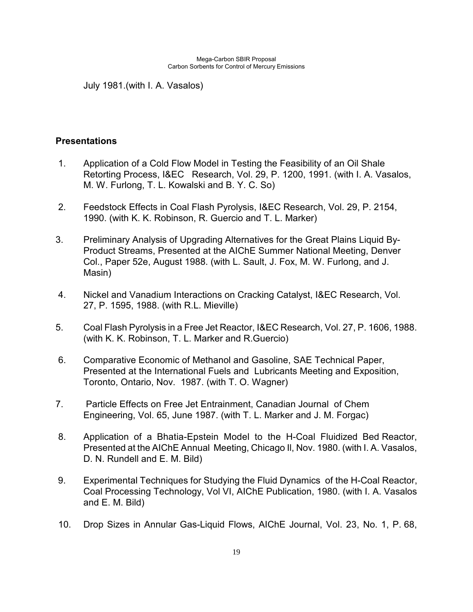July 1981.(with I. A. Vasalos)

### **Presentations**

- 1. Application of a Cold Flow Model in Testing the Feasibility of an Oil Shale Retorting Process, I&EC Research, Vol. 29, P. 1200, 1991. (with I. A. Vasalos, M. W. Furlong, T. L. Kowalski and B. Y. C. So)
- 2. Feedstock Effects in Coal Flash Pyrolysis, I&EC Research, Vol. 29, P. 2154, 1990. (with K. K. Robinson, R. Guercio and T. L. Marker)
- 3. Preliminary Analysis of Upgrading Alternatives for the Great Plains Liquid By-Product Streams, Presented at the AIChE Summer National Meeting, Denver Col., Paper 52e, August 1988. (with L. Sault, J. Fox, M. W. Furlong, and J. Masin)
- 4. Nickel and Vanadium Interactions on Cracking Catalyst, I&EC Research, Vol. 27, P. 1595, 1988. (with R.L. Mieville)
- 5. Coal Flash Pyrolysis in a Free Jet Reactor, I&EC Research, Vol. 27, P. 1606, 1988. (with K. K. Robinson, T. L. Marker and R.Guercio)
- 6. Comparative Economic of Methanol and Gasoline, SAE Technical Paper, Presented at the International Fuels and Lubricants Meeting and Exposition, Toronto, Ontario, Nov. 1987. (with T. O. Wagner)
- 7. Particle Effects on Free Jet Entrainment, Canadian Journal of Chem Engineering, Vol. 65, June 1987. (with T. L. Marker and J. M. Forgac)
- 8. Application of a Bhatia-Epstein Model to the H-Coal Fluidized Bed Reactor, Presented at the AIChE Annual Meeting, Chicago Il, Nov. 1980. (with I. A. Vasalos, D. N. Rundell and E. M. Bild)
- 9. Experimental Techniques for Studying the Fluid Dynamics of the H-Coal Reactor, Coal Processing Technology, Vol VI, AIChE Publication, 1980. (with I. A. Vasalos and E. M. Bild)
- 10. Drop Sizes in Annular Gas-Liquid Flows, AIChE Journal, Vol. 23, No. 1, P. 68,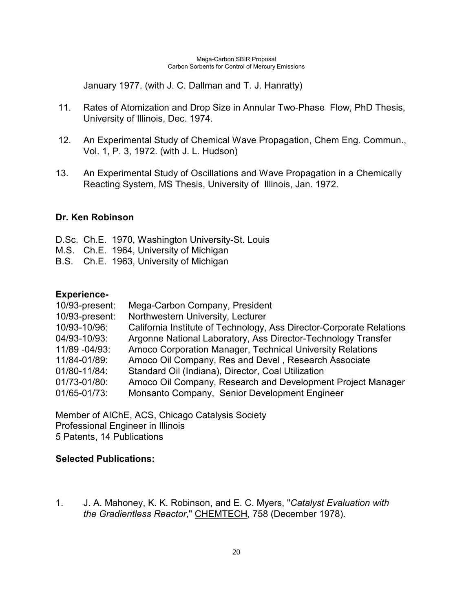January 1977. (with J. C. Dallman and T. J. Hanratty)

- 11. Rates of Atomization and Drop Size in Annular Two-Phase Flow, PhD Thesis, University of Illinois, Dec. 1974.
- 12. An Experimental Study of Chemical Wave Propagation, Chem Eng. Commun., Vol. 1, P. 3, 1972. (with J. L. Hudson)
- 13. An Experimental Study of Oscillations and Wave Propagation in a Chemically Reacting System, MS Thesis, University of Illinois, Jan. 1972.

#### **Dr. Ken Robinson**

D.Sc. Ch.E. 1970, Washington University-St. Louis M.S. Ch.E. 1964, University of Michigan B.S. Ch.E. 1963, University of Michigan

### **Experience-**

| 10/93-present: | Mega-Carbon Company, President                                       |
|----------------|----------------------------------------------------------------------|
| 10/93-present: | Northwestern University, Lecturer                                    |
| 10/93-10/96:   | California Institute of Technology, Ass Director-Corporate Relations |
| 04/93-10/93:   | Argonne National Laboratory, Ass Director-Technology Transfer        |
| 11/89 - 04/93: | Amoco Corporation Manager, Technical University Relations            |
| 11/84-01/89:   | Amoco Oil Company, Res and Devel, Research Associate                 |
| 01/80-11/84:   | Standard Oil (Indiana), Director, Coal Utilization                   |
| 01/73-01/80:   | Amoco Oil Company, Research and Development Project Manager          |
| 01/65-01/73:   | Monsanto Company, Senior Development Engineer                        |

Member of AIChE, ACS, Chicago Catalysis Society Professional Engineer in Illinois 5 Patents, 14 Publications

### **Selected Publications:**

1. J. A. Mahoney, K. K. Robinson, and E. C. Myers, "*Catalyst Evaluation with the Gradientless Reactor*," CHEMTECH, 758 (December 1978).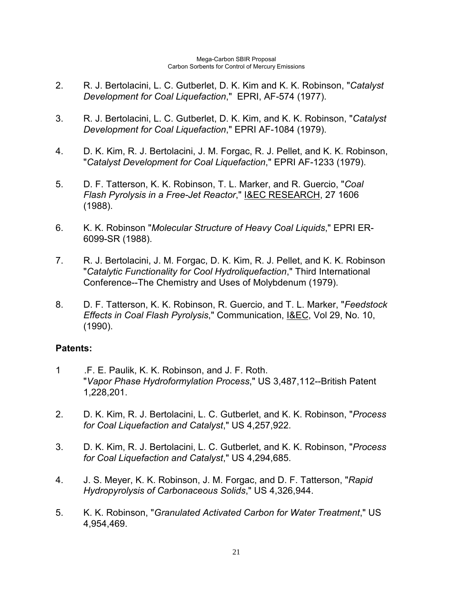- 2. R. J. Bertolacini, L. C. Gutberlet, D. K. Kim and K. K. Robinson, "*Catalyst Development for Coal Liquefaction*," EPRI, AF-574 (1977).
- 3. R. J. Bertolacini, L. C. Gutberlet, D. K. Kim, and K. K. Robinson, "*Catalyst Development for Coal Liquefaction*," EPRI AF-1084 (1979).
- 4. D. K. Kim, R. J. Bertolacini, J. M. Forgac, R. J. Pellet, and K. K. Robinson, "*Catalyst Development for Coal Liquefaction*," EPRI AF-1233 (1979).
- 5. D. F. Tatterson, K. K. Robinson, T. L. Marker, and R. Guercio, "*Coal Flash Pyrolysis in a Free-Jet Reactor*," I&EC RESEARCH, 27 1606 (1988).
- 6. K. K. Robinson "*Molecular Structure of Heavy Coal Liquids*," EPRI ER-6099-SR (1988).
- 7. R. J. Bertolacini, J. M. Forgac, D. K. Kim, R. J. Pellet, and K. K. Robinson "*Catalytic Functionality for Cool Hydroliquefaction*," Third International Conference--The Chemistry and Uses of Molybdenum (1979).
- 8. D. F. Tatterson, K. K. Robinson, R. Guercio, and T. L. Marker, "*Feedstock Effects in Coal Flash Pyrolysis*," Communication, I&EC, Vol 29, No. 10, (1990).

## **Patents:**

- 1 .F. E. Paulik, K. K. Robinson, and J. F. Roth. "*Vapor Phase Hydroformylation Process*," US 3,487,112--British Patent 1,228,201.
- 2. D. K. Kim, R. J. Bertolacini, L. C. Gutberlet, and K. K. Robinson, "*Process for Coal Liquefaction and Catalyst*," US 4,257,922.
- 3. D. K. Kim, R. J. Bertolacini, L. C. Gutberlet, and K. K. Robinson, "*Process for Coal Liquefaction and Catalyst*," US 4,294,685.
- 4. J. S. Meyer, K. K. Robinson, J. M. Forgac, and D. F. Tatterson, "*Rapid Hydropyrolysis of Carbonaceous Solids*," US 4,326,944.
- 5. K. K. Robinson, "*Granulated Activated Carbon for Water Treatment*," US 4,954,469.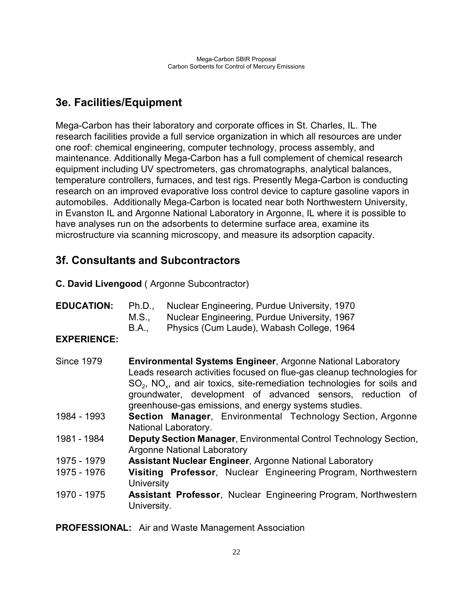# **3e. Facilities/Equipment**

Mega-Carbon has their laboratory and corporate offices in St. Charles, IL. The research facilities provide a full service organization in which all resources are under one roof: chemical engineering, computer technology, process assembly, and maintenance. Additionally Mega-Carbon has a full complement of chemical research equipment including UV spectrometers, gas chromatographs, analytical balances, temperature controllers, furnaces, and test rigs. Presently Mega-Carbon is conducting research on an improved evaporative loss control device to capture gasoline vapors in automobiles. Additionally Mega-Carbon is located near both Northwestern University, in Evanston IL and Argonne National Laboratory in Argonne, IL where it is possible to have analyses run on the adsorbents to determine surface area, examine its microstructure via scanning microscopy, and measure its adsorption capacity.

# **3f. Consultants and Subcontractors**

**C. David Livengood** ( Argonne Subcontractor)

| <b>EDUCATION:</b> | Ph.D  | Nuclear Engineering, Purdue University, 1970 |
|-------------------|-------|----------------------------------------------|
|                   | M.S   | Nuclear Engineering, Purdue University, 1967 |
|                   | B.A., | Physics (Cum Laude), Wabash College, 1964    |

## **EXPERIENCE:**

| <b>Since 1979</b> | <b>Environmental Systems Engineer, Argonne National Laboratory</b><br>Leads research activities focused on flue-gas cleanup technologies for<br>$SO2$ , NO <sub>x</sub> , and air toxics, site-remediation technologies for soils and<br>groundwater, development of advanced sensors, reduction of<br>greenhouse-gas emissions, and energy systems studies. |
|-------------------|--------------------------------------------------------------------------------------------------------------------------------------------------------------------------------------------------------------------------------------------------------------------------------------------------------------------------------------------------------------|
| 1984 - 1993       | <b>Section Manager, Environmental Technology Section, Argonne</b><br>National Laboratory.                                                                                                                                                                                                                                                                    |
| 1981 - 1984       | Deputy Section Manager, Environmental Control Technology Section,<br><b>Argonne National Laboratory</b>                                                                                                                                                                                                                                                      |
| 1975 - 1979       | <b>Assistant Nuclear Engineer, Argonne National Laboratory</b>                                                                                                                                                                                                                                                                                               |
| 1975 - 1976       | Visiting Professor, Nuclear Engineering Program, Northwestern<br><b>University</b>                                                                                                                                                                                                                                                                           |
| 1970 - 1975       | Assistant Professor, Nuclear Engineering Program, Northwestern<br>University.                                                                                                                                                                                                                                                                                |

**PROFESSIONAL:** Air and Waste Management Association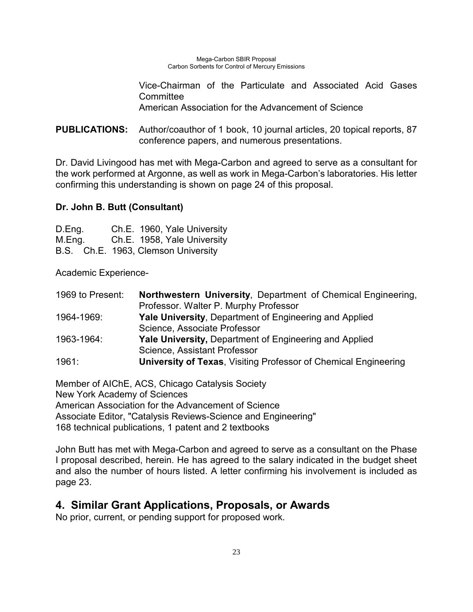Vice-Chairman of the Particulate and Associated Acid Gases **Committee** American Association for the Advancement of Science

**PUBLICATIONS:** Author/coauthor of 1 book, 10 journal articles, 20 topical reports, 87 conference papers, and numerous presentations.

Dr. David Livingood has met with Mega-Carbon and agreed to serve as a consultant for the work performed at Argonne, as well as work in Mega-Carbon's laboratories. His letter confirming this understanding is shown on page 24 of this proposal.

## **Dr. John B. Butt (Consultant)**

| D.Eng. | Ch.E. 1960, Yale University         |
|--------|-------------------------------------|
| M.Eng. | Ch.E. 1958, Yale University         |
|        | B.S. Ch.E. 1963, Clemson University |

Academic Experience-

| 1969 to Present: | Northwestern University, Department of Chemical Engineering,           |
|------------------|------------------------------------------------------------------------|
|                  | Professor. Walter P. Murphy Professor                                  |
| 1964-1969:       | <b>Yale University, Department of Engineering and Applied</b>          |
|                  | Science, Associate Professor                                           |
| 1963-1964:       | <b>Yale University, Department of Engineering and Applied</b>          |
|                  | Science, Assistant Professor                                           |
| 1961:            | <b>University of Texas, Visiting Professor of Chemical Engineering</b> |

Member of AIChE, ACS, Chicago Catalysis Society New York Academy of Sciences American Association for the Advancement of Science Associate Editor, "Catalysis Reviews-Science and Engineering" 168 technical publications, 1 patent and 2 textbooks

John Butt has met with Mega-Carbon and agreed to serve as a consultant on the Phase I proposal described, herein. He has agreed to the salary indicated in the budget sheet and also the number of hours listed. A letter confirming his involvement is included as page 23.

# **4. Similar Grant Applications, Proposals, or Awards**

No prior, current, or pending support for proposed work.